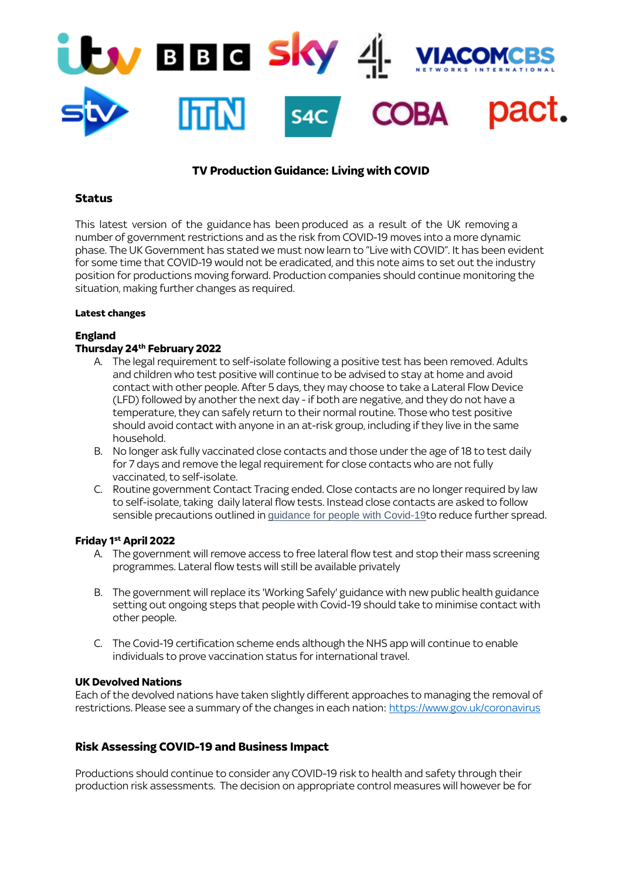

# **TV Production Guidance: Living with COVID**

#### **Status**

This latest version of the guidance has been produced as a result of the UK removing a number of government restrictions and as the risk from COVID-19 moves into a more dynamic phase. The UK Government has stated we must now learn to "Live with COVID". It has been evident for some time that COVID-19 would not be eradicated, and this note aims to set out the industry position for productions moving forward. Production companies should continue monitoring the situation, making further changes as required.

#### **Latest changes**

### **England**

### **Thursday 24th February 2022**

- A. The legal requirement to self-isolate following a positive test has been removed. Adults and children who test positive will continue to be advised to stay at home and avoid contact with other people. After 5 days, they may choose to take a Lateral Flow Device (LFD) followed by another the next day - if both are negative, and they do not have a temperature, they can safely return to their normal routine. Those who test positive should avoid contact with anyone in an at-risk group, including if they live in the same household.
- B. No longer ask fully vaccinated close contacts and those under the age of 18 to test daily for 7 days and remove the legal requirement for close contacts who are not fully vaccinated, to self-isolate.
- C. Routine government Contact Tracing ended. Close contacts are no longer required by law to self-isolate, taking daily lateral flow tests. Instead close contacts are asked to follow sensible precautions outlined in [guidance for people with Covid-19](https://www.gov.uk/government/publications/covid-19-people-with-covid-19-and-their-contacts/covid-19-people-with-covid-19-and-their-contacts)to reduce further spread.

### **Friday 1st April 2022**

- A. The government will remove access to free lateral flow test and stop their mass screening programmes. Lateral flow tests will still be available privately
- B. The government will replace its 'Working Safely' guidance with new public health guidance setting out ongoing steps that people with Covid-19 should take to minimise contact with other people.
- C. The Covid-19 certification scheme ends although the NHS app will continue to enable individuals to prove vaccination status for international travel.

#### **UK Devolved Nations**

Each of the devolved nations have taken slightly different approaches to managing the removal of restrictions. Please see a summary of the changes in each nation: <https://www.gov.uk/coronavirus>

### **Risk Assessing COVID-19 and Business Impact**

Productions should continue to consider any COVID-19 risk to health and safety through their production risk assessments. The decision on appropriate control measures will however be for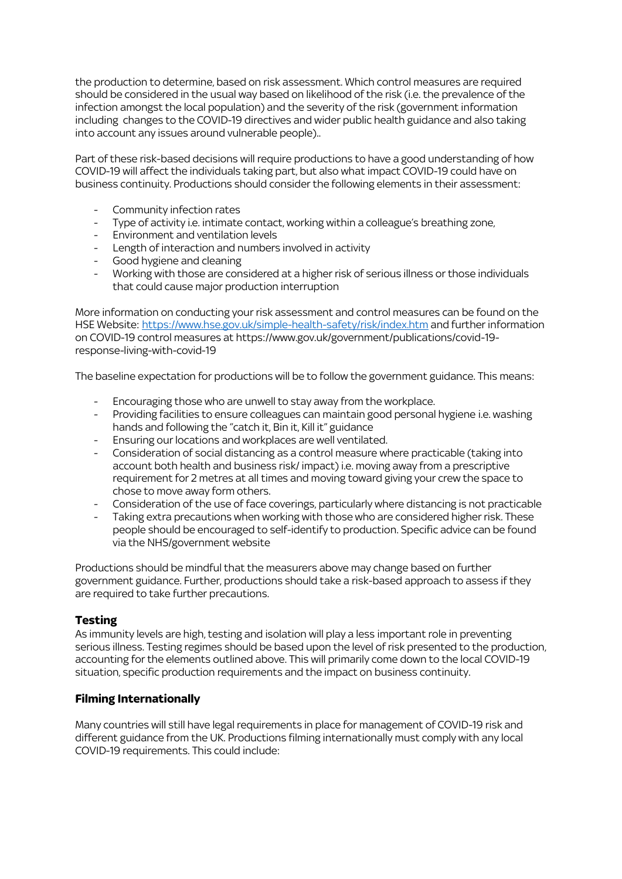the production to determine, based on risk assessment. Which control measures are required should be considered in the usual way based on likelihood of the risk (i.e. the prevalence of the infection amongst the local population) and the severity of the risk (government information including changes to the COVID-19 directives and wider public health guidance and also taking into account any issues around vulnerable people)..

Part of these risk-based decisions will require productions to have a good understanding of how COVID-19 will affect the individuals taking part, but also what impact COVID-19 could have on business continuity. Productions should consider the following elements in their assessment:

- Community infection rates
- Type of activity i.e. intimate contact, working within a colleague's breathing zone,
- Environment and ventilation levels
- Length of interaction and numbers involved in activity
- Good hygiene and cleaning
- Working with those are considered at a higher risk of serious illness or those individuals that could cause major production interruption

More information on conducting your risk assessment and control measures can be found on the HSE Website: <https://www.hse.gov.uk/simple-health-safety/risk/index.htm> and further information on COVID-19 control measures at https://www.gov.uk/government/publications/covid-19 response-living-with-covid-19

The baseline expectation for productions will be to follow the government guidance. This means:

- Encouraging those who are unwell to stay away from the workplace.
- Providing facilities to ensure colleagues can maintain good personal hygiene i.e. washing hands and following the "catch it, Bin it, Kill it" guidance
- Ensuring our locations and workplaces are well ventilated.
- Consideration of social distancing as a control measure where practicable (taking into account both health and business risk/ impact) i.e. moving away from a prescriptive requirement for 2 metres at all times and moving toward giving your crew the space to chose to move away form others.
- Consideration of the use of face coverings, particularly where distancing is not practicable
- Taking extra precautions when working with those who are considered higher risk. These people should be encouraged to self-identify to production. Specific advice can be found via the NHS/government website

Productions should be mindful that the measurers above may change based on further government guidance. Further, productions should take a risk-based approach to assess if they are required to take further precautions.

# **Testing**

As immunity levels are high, testing and isolation will play a less important role in preventing serious illness. Testing regimes should be based upon the level of risk presented to the production, accounting for the elements outlined above. This will primarily come down to the local COVID-19 situation, specific production requirements and the impact on business continuity.

# **Filming Internationally**

Many countries will still have legal requirements in place for management of COVID-19 risk and different guidance from the UK. Productions filming internationally must comply with any local COVID-19 requirements. This could include: